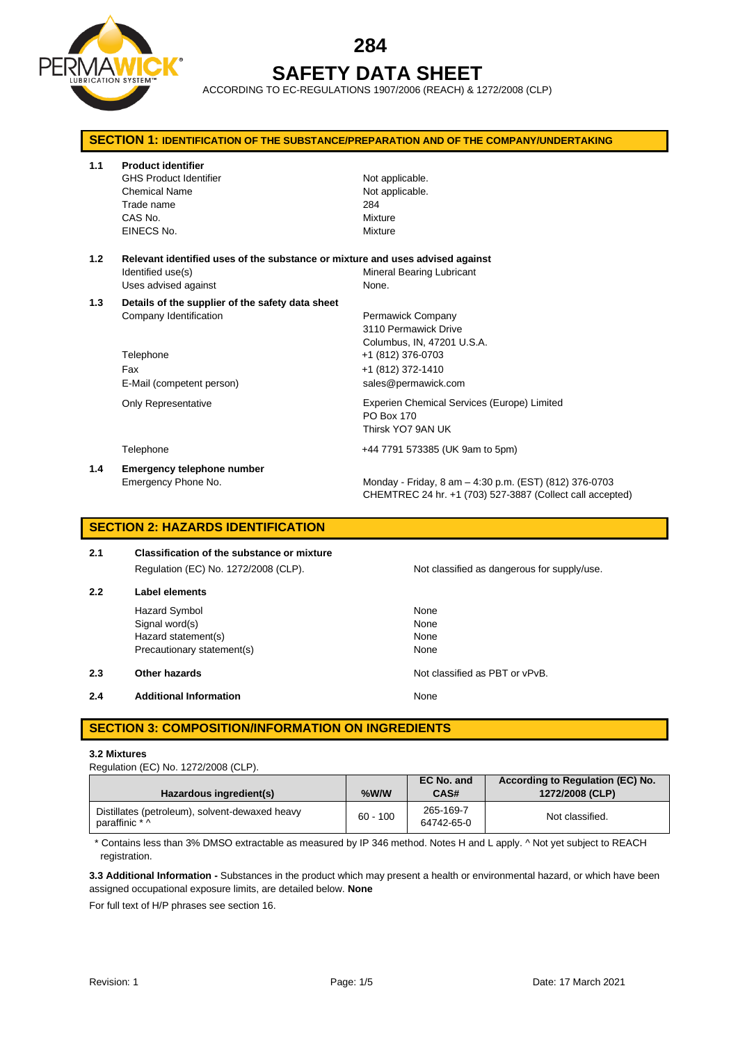

# **284 SAFETY DATA SHEET**

ACCORDING TO EC-REGULATIONS 1907/2006 (REACH) & 1272/2008 (CLP)

| <b>SECTION 1: IDENTIFICATION OF THE SUBSTANCE/PREPARATION AND OF THE COMPANY/UNDERTAKING</b> |                                                                                                                            |                                                                                                                     |  |  |
|----------------------------------------------------------------------------------------------|----------------------------------------------------------------------------------------------------------------------------|---------------------------------------------------------------------------------------------------------------------|--|--|
| 1.1                                                                                          | <b>Product identifier</b><br><b>GHS Product Identifier</b><br><b>Chemical Name</b><br>Trade name<br>CAS No.<br>EINECS No.  | Not applicable.<br>Not applicable.<br>284<br>Mixture<br>Mixture                                                     |  |  |
| 1.2                                                                                          | Relevant identified uses of the substance or mixture and uses advised against<br>Identified use(s)<br>Uses advised against | Mineral Bearing Lubricant<br>None.                                                                                  |  |  |
| 1.3                                                                                          | Details of the supplier of the safety data sheet<br>Company Identification<br>Telephone<br>Fax                             | Permawick Company<br>3110 Permawick Drive<br>Columbus, IN, 47201 U.S.A.<br>+1 (812) 376-0703<br>+1 (812) 372-1410   |  |  |
|                                                                                              | E-Mail (competent person)<br><b>Only Representative</b>                                                                    | sales@permawick.com<br>Experien Chemical Services (Europe) Limited<br>PO Box 170<br>Thirsk YO7 9AN UK               |  |  |
|                                                                                              | Telephone                                                                                                                  | +44 7791 573385 (UK 9am to 5pm)                                                                                     |  |  |
| 1.4                                                                                          | <b>Emergency telephone number</b><br>Emergency Phone No.                                                                   | Monday - Friday, 8 am - 4:30 p.m. (EST) (812) 376-0703<br>CHEMTREC 24 hr. +1 (703) 527-3887 (Collect call accepted) |  |  |

# **SECTION 2: HAZARDS IDENTIFICATION**

| 2.1 | <b>Classification of the substance or mixture</b> |
|-----|---------------------------------------------------|
|     | Regulation (EC) No. 1272/2008 (CLP).              |
| 2.2 | Label elements                                    |
|     | <b>Hazard Symbol</b>                              |

Not classified as dangerous for supply/use.

|     | Hazard Symbol                 | None                           |
|-----|-------------------------------|--------------------------------|
|     | Signal word(s)                | None                           |
|     | Hazard statement(s)           | None                           |
|     | Precautionary statement(s)    | None                           |
| 2.3 | Other hazards                 | Not classified as PBT or vPvB. |
| 2.4 | <b>Additional Information</b> | None                           |
|     |                               |                                |

# **SECTION 3: COMPOSITION/INFORMATION ON INGREDIENTS**

#### **3.2 Mixtures**

Regulation (EC) No. 1272/2008 (CLP).

| Hazardous ingredient(s)                                          | %W/W       | EC No. and<br>CAS#      | According to Regulation (EC) No.<br>1272/2008 (CLP) |
|------------------------------------------------------------------|------------|-------------------------|-----------------------------------------------------|
| Distillates (petroleum), solvent-dewaxed heavy<br>paraffinic * ^ | $60 - 100$ | 265-169-7<br>64742-65-0 | Not classified.                                     |

\* Contains less than 3% DMSO extractable as measured by IP 346 method. Notes H and L apply. ^ Not yet subject to REACH registration.

**3.3 Additional Information -** Substances in the product which may present a health or environmental hazard, or which have been assigned occupational exposure limits, are detailed below. **None**

For full text of H/P phrases see section 16.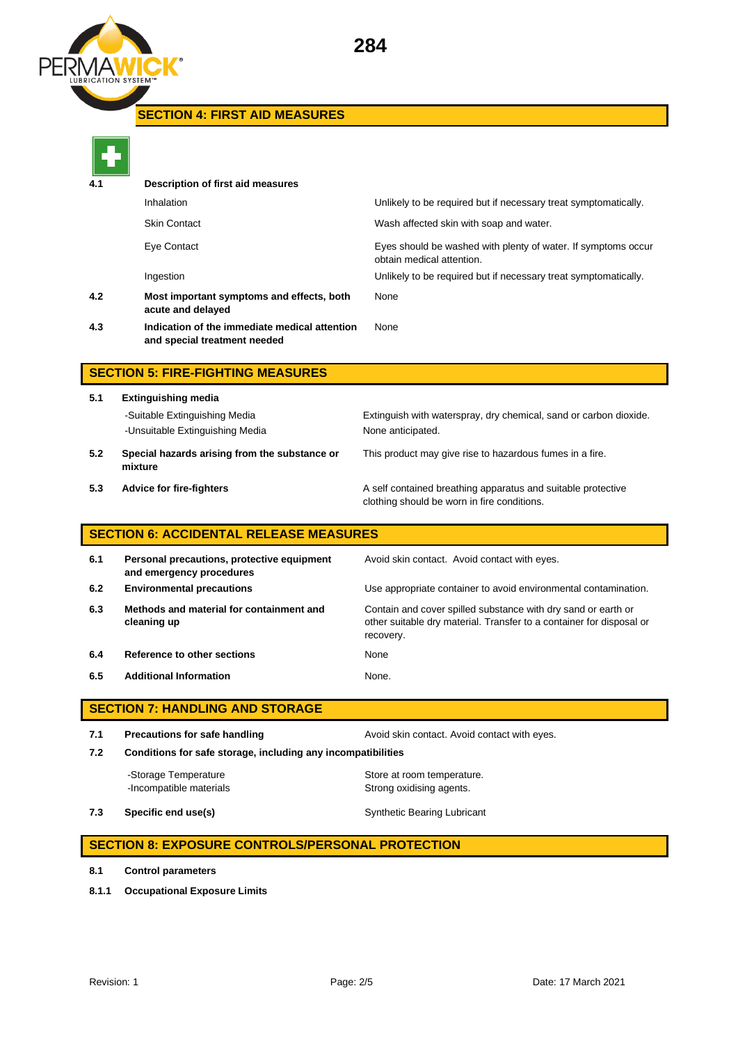

# **SECTION 4: FIRST AID MEASURES**

| 4.1 | Description of first aid measures                                             |                                                                                            |
|-----|-------------------------------------------------------------------------------|--------------------------------------------------------------------------------------------|
|     | Inhalation                                                                    | Unlikely to be required but if necessary treat symptomatically.                            |
|     | Skin Contact                                                                  | Wash affected skin with soap and water.                                                    |
|     | Eye Contact                                                                   | Eyes should be washed with plenty of water. If symptoms occur<br>obtain medical attention. |
|     | Ingestion                                                                     | Unlikely to be required but if necessary treat symptomatically.                            |
| 4.2 | Most important symptoms and effects, both<br>acute and delayed                | None                                                                                       |
| 4.3 | Indication of the immediate medical attention<br>and special treatment needed | None                                                                                       |
|     |                                                                               |                                                                                            |

## **SECTION 5: FIRE-FIGHTING MEASURES**

- **5.1 Extinguishing media** -Suitable Extinguishing Media Extinguish with waterspray, dry chemical, sand or carbon dioxide. -Unsuitable Extinguishing Media None anticipated. **5.2 Special hazards arising from the substance or** 
	- This product may give rise to hazardous fumes in a fire.
- **mixture**
- 

**5.3 Advice for fire-fighters A self** contained breathing apparatus and suitable protective clothing should be worn in fire conditions.

## **SECTION 6: ACCIDENTAL RELEASE MEASURES**

| 6.1 | Personal precautions, protective equipment<br>and emergency procedures | Avoid skin contact. Avoid contact with eyes.                                                                                                       |
|-----|------------------------------------------------------------------------|----------------------------------------------------------------------------------------------------------------------------------------------------|
| 6.2 | <b>Environmental precautions</b>                                       | Use appropriate container to avoid environmental contamination.                                                                                    |
| 6.3 | Methods and material for containment and<br>cleaning up                | Contain and cover spilled substance with dry sand or earth or<br>other suitable dry material. Transfer to a container for disposal or<br>recovery. |
| 6.4 | Reference to other sections                                            | None                                                                                                                                               |
| 6.5 | <b>Additional Information</b>                                          | None.                                                                                                                                              |

## **SECTION 7: HANDLING AND STORAGE**

**7.1 Precautions for safe handling Avoid skin contact. Avoid contact with eyes. 7.2 Conditions for safe storage, including any incompatibilities**

-Storage Temperature **Store at room temperature.** -Incompatible materials **Strong oxidising agents**.

**7.3 Specific end use(s)** Synthetic Bearing Lubricant

## **SECTION 8: EXPOSURE CONTROLS/PERSONAL PROTECTION**

- **8.1 Control parameters**
- **8.1.1 Occupational Exposure Limits**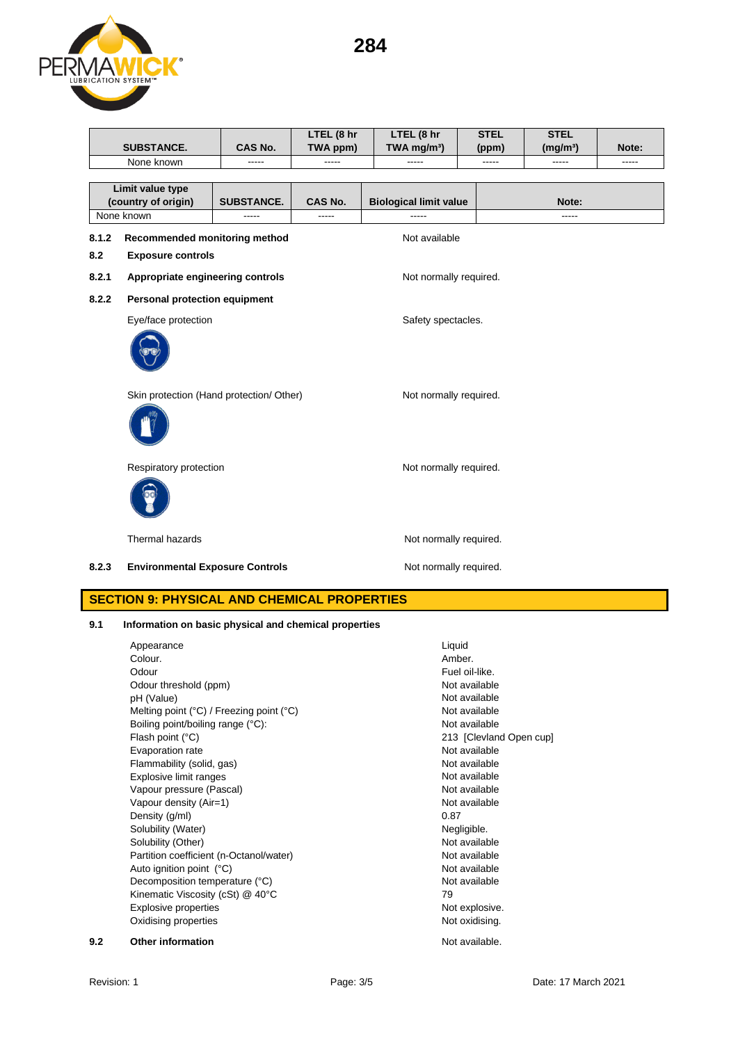**284**



|       |                                          |                   | LTEL (8 hr | LTEL (8 hr                    | <b>STEL</b> | <b>STEL</b>          |       |
|-------|------------------------------------------|-------------------|------------|-------------------------------|-------------|----------------------|-------|
|       | SUBSTANCE.                               | CAS No.           | TWA ppm)   | TWA mg/m <sup>3</sup> )       | (ppm)       | (mg/m <sup>3</sup> ) | Note: |
|       | None known                               |                   |            |                               |             |                      | ----- |
|       |                                          |                   |            |                               |             |                      |       |
|       | Limit value type                         |                   |            |                               |             |                      |       |
|       | (country of origin)                      | <b>SUBSTANCE.</b> | CAS No.    | <b>Biological limit value</b> |             | Note:                |       |
|       | None known                               | -----             | -----      | -----                         |             | -----                |       |
| 8.1.2 | Recommended monitoring method            |                   |            | Not available                 |             |                      |       |
| 8.2   | <b>Exposure controls</b>                 |                   |            |                               |             |                      |       |
| 8.2.1 | Appropriate engineering controls         |                   |            | Not normally required.        |             |                      |       |
| 8.2.2 | Personal protection equipment            |                   |            |                               |             |                      |       |
|       | Eye/face protection                      |                   |            | Safety spectacles.            |             |                      |       |
|       |                                          |                   |            |                               |             |                      |       |
|       | Skin protection (Hand protection/ Other) |                   |            | Not normally required.        |             |                      |       |
|       |                                          |                   |            |                               |             |                      |       |
|       | Respiratory protection                   |                   |            | Not normally required.        |             |                      |       |
|       |                                          |                   |            |                               |             |                      |       |
|       | Thermal hazards                          |                   |            | Not normally required.        |             |                      |       |
| 8.2.3 | <b>Environmental Exposure Controls</b>   |                   |            | Not normally required.        |             |                      |       |
|       |                                          |                   |            |                               |             |                      |       |

# **SECTION 9: PHYSICAL AND CHEMICAL PROPERTIES**

## **9.1 Information on basic physical and chemical properties**

|     | Appearance                                                 | Liquid                  |
|-----|------------------------------------------------------------|-------------------------|
|     | Colour.                                                    | Amber.                  |
|     | Odour                                                      | Fuel oil-like.          |
|     | Odour threshold (ppm)                                      | Not available           |
|     | pH (Value)                                                 | Not available           |
|     | Melting point $(^{\circ}C)$ / Freezing point $(^{\circ}C)$ | Not available           |
|     | Boiling point/boiling range (°C):                          | Not available           |
|     | Flash point (°C)                                           | 213 [Clevland Open cup] |
|     | Evaporation rate                                           | Not available           |
|     | Flammability (solid, gas)                                  | Not available           |
|     | Explosive limit ranges                                     | Not available           |
|     | Vapour pressure (Pascal)                                   | Not available           |
|     | Vapour density (Air=1)                                     | Not available           |
|     | Density (g/ml)                                             | 0.87                    |
|     | Solubility (Water)                                         | Negligible.             |
|     | Solubility (Other)                                         | Not available           |
|     | Partition coefficient (n-Octanol/water)                    | Not available           |
|     | Auto ignition point (°C)                                   | Not available           |
|     | Decomposition temperature (°C)                             | Not available           |
|     | Kinematic Viscosity (cSt) @ 40°C                           | 79                      |
|     | Explosive properties                                       | Not explosive.          |
|     | Oxidising properties                                       | Not oxidising.          |
| 9.2 | <b>Other information</b>                                   | Not available.          |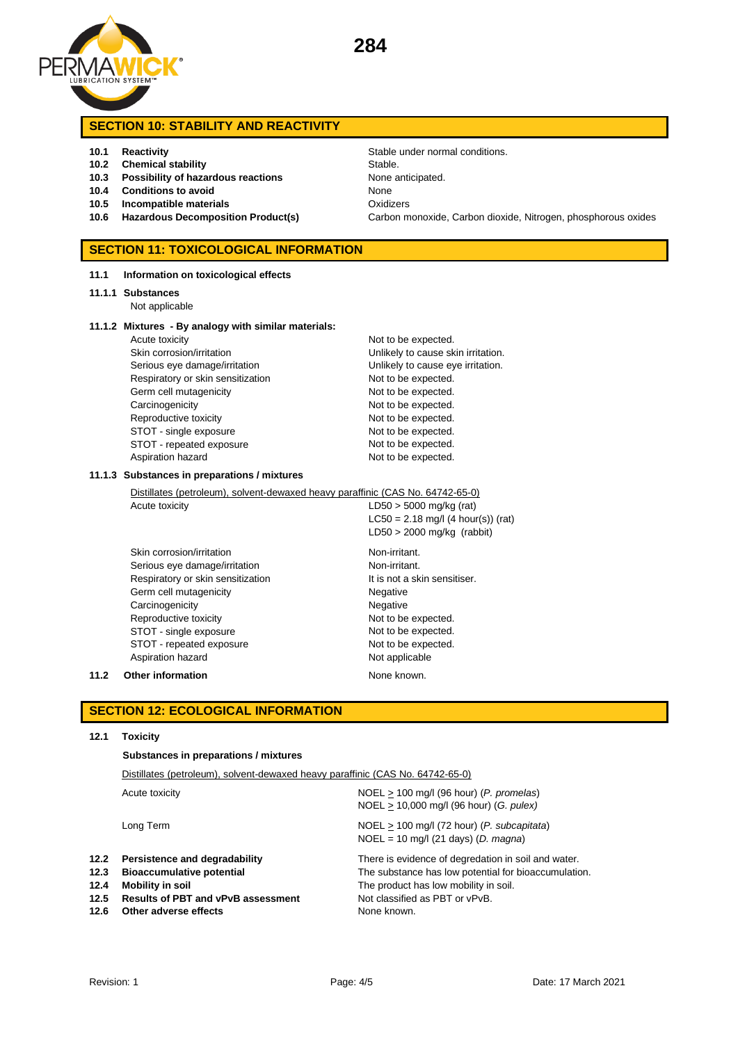

## **SECTION 10: STABILITY AND REACTIVITY**

- 
- **10.2 Chemical stability** Stable.
- **10.3 Possibility of hazardous reactions** None anticipated.
- **10.4 Conditions to avoid** None
- **10.5 Incompatible materials** Oxidizers
- 

### **SECTION 11: TOXICOLOGICAL INFORMATION**

**11.1 Information on toxicological effects**

#### **11.1.1 Substances**

Not applicable

#### **11.1.2 Mixtures - By analogy with similar materials:**

| Acute toxicity                    | Not to be expected.  |
|-----------------------------------|----------------------|
| Skin corrosion/irritation         | Unlikely to cause sk |
| Serious eye damage/irritation     | Unlikely to cause ey |
| Respiratory or skin sensitization | Not to be expected.  |
| Germ cell mutagenicity            | Not to be expected.  |
| Carcinogenicity                   | Not to be expected.  |
| Reproductive toxicity             | Not to be expected.  |
| STOT - single exposure            | Not to be expected.  |
| STOT - repeated exposure          | Not to be expected.  |
| Aspiration hazard                 | Not to be expected.  |

**10.1 Reactivity 10.1 Reactivity Stable under normal conditions. 10.6 Hazardous Decomposition Product(s)** Carbon monoxide, Carbon dioxide, Nitrogen, phosphorous oxides

> Not to be expected. Unlikely to cause skin irritation. Unlikely to cause eye irritation. Not to be expected. Not to be expected. Not to be expected. Not to be expected. Not to be expected. Not to be expected.

#### **11.1.3 Substances in preparations / mixtures**

Distillates (petroleum), solvent-dewaxed heavy paraffinic (CAS No. 64742-65-0)

Acute toxicity  $LD50 > 5000$  mg/kg (rat)  $LC50 = 2.18$  mg/l (4 hour(s)) (rat) LD50 > 2000 mg/kg (rabbit) Skin corrosion/irritation Non-irritant.

Serious eye damage/irritation Non-irritant. Respiratory or skin sensitization It is not a skin sensitiser. Germ cell mutagenicity **Negative** Negative Carcinogenicity **Negative** Negative Reproductive toxicity Not to be expected. STOT - single exposure Not to be expected. STOT - repeated exposure Not to be expected. Aspiration hazard Not applicable

**11.2 Other information None known.** 

## **SECTION 12: ECOLOGICAL INFORMATION**

#### **12.1 Toxicity**

**Substances in preparations / mixtures**

|                                      | Distillates (petroleum), solvent-dewaxed heavy paraffinic (CAS No. 64742-65-0)                                                                              |                                                                                                                                                                                                       |  |
|--------------------------------------|-------------------------------------------------------------------------------------------------------------------------------------------------------------|-------------------------------------------------------------------------------------------------------------------------------------------------------------------------------------------------------|--|
| Acute toxicity                       |                                                                                                                                                             | $NOEL > 100$ mg/l (96 hour) (P. promelas)<br>NOEL > 10,000 mg/l (96 hour) (G. pulex)                                                                                                                  |  |
|                                      | Long Term                                                                                                                                                   | $NOEL > 100$ mg/l (72 hour) (P. subcapitata)<br>$NOEL = 10$ mg/l (21 days) (D. magna)                                                                                                                 |  |
| 12.2<br>12.3<br>12.4<br>12.5<br>12.6 | Persistence and degradability<br><b>Bioaccumulative potential</b><br>Mobility in soil<br><b>Results of PBT and vPvB assessment</b><br>Other adverse effects | There is evidence of degredation in soil and water.<br>The substance has low potential for bioaccumulation.<br>The product has low mobility in soil.<br>Not classified as PBT or vPvB.<br>None known. |  |